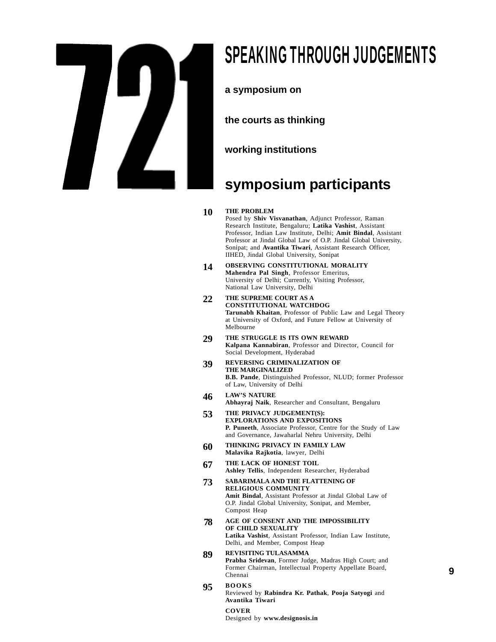## SPEAKING THROUGH JUDGEMENTS

**a symposium on**

**the courts as thinking**

**working institutions**

## **symposium participants**

## **10 THE PROBLEM**

Posed by **Shiv Visvanathan**, Adjunct Professor, Raman Research Institute, Bengaluru; **Latika Vashist**, Assistant Professor, Indian Law Institute, Delhi; **Amit Bindal**, Assistant Professor at Jindal Global Law of O.P. Jindal Global University, Sonipat; and **Avantika Tiwari**, Assistant Research Officer, IIHED, Jindal Global University, Sonipat

- **OBSERVING CONSTITUTIONAL MORALITY Mahendra Pal Singh**, Professor Emeritus, University of Delhi; Currently, Visiting Professor, National Law University, Delhi **14**
- **THE SUPREME COURT AS A CONSTITUTIONAL WATCHDOG Tarunabh Khaitan**, Professor of Public Law and Legal Theory at University of Oxford, and Future Fellow at University of Melbourne **22**
- **THE STRUGGLE IS ITS OWN REWARD Kalpana Kannabiran**, Professor and Director, Council for Social Development, Hyderabad **29**
- **REVERSING CRIMINALIZATION OF THE MARGINALIZED B.B. Pande**, Distinguished Professor, NLUD; former Professor of Law, University of Delhi **39**
- **LAW'S NATURE Abhayraj Naik**, Researcher and Consultant, Bengaluru **46**
- **THE PRIVACY JUDGEMENT(S): EXPLORATIONS AND EXPOSITIONS P. Puneeth**, Associate Professor, Centre for the Study of Law and Governance, Jawaharlal Nehru University, Delhi **53**
- **THINKING PRIVACY IN FAMILY LAW Malavika Rajkotia**, lawyer, Delhi **60**
- **THE LACK OF HONEST TOIL Ashley Tellis**, Independent Researcher, Hyderabad **67**
- **SABARIMALA AND THE FLATTENING OF RELIGIOUS COMMUNITY Amit Bindal**, Assistant Professor at Jindal Global Law of O.P. Jindal Global University, Sonipat, and Member, Compost Heap **73**

**AGE OF CONSENT AND THE IMPOSSIBILITY OF CHILD SEXUALITY Latika Vashist**, Assistant Professor, Indian Law Institute, Delhi, and Member, Compost Heap  **78**

#### **REVISITING TULASAMMA Prabha Sridevan**, Former Judge, Madras High Court; and Former Chairman, Intellectual Property Appellate Board, Chennai **89**

9

#### **BOOKS 95**

Reviewed by **Rabindra Kr. Pathak**, **Pooja Satyogi** and **Avantika Tiwari**

## **COVER**

Designed by **www.designosis.in**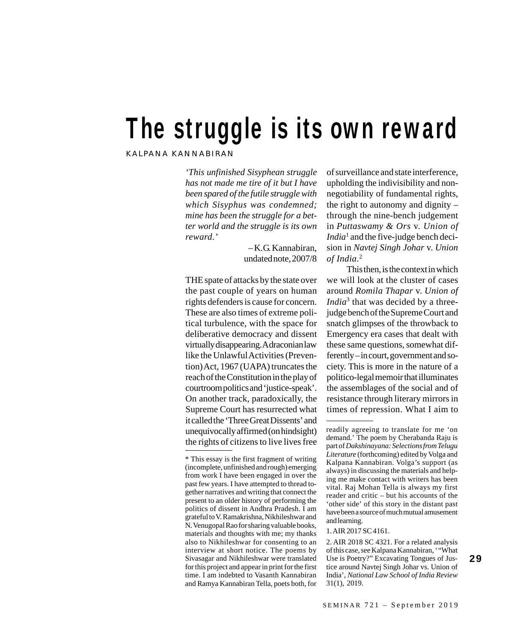# The struggle is its own reward

KALPANA KANNABIRAN

*'This unfinished Sisyphean struggle has not made me tire of it but I have been spared of the futile struggle with which Sisyphus was condemned; mine has been the struggle for a better world and the struggle is its own reward.'*

> – K.G. Kannabiran, undated note, 2007/8

THE spate of attacks by the state over the past couple of years on human rights defenders is cause for concern. These are also times of extreme political turbulence, with the space for deliberative democracy and dissent virtually disappearing. A draconian law like the Unlawful Activities (Prevention) Act, 1967 (UAPA) truncates the reach of the Constitution in the play of courtroom politics and 'justice-speak'. On another track, paradoxically, the Supreme Court has resurrected what it called the 'Three Great Dissents' and unequivocally affirmed (on hindsight) the rights of citizens to live lives free of surveillance and state interference, upholding the indivisibility and nonnegotiability of fundamental rights, the right to autonomy and dignity – through the nine-bench judgement in *Puttaswamy & Ors* v. *Union of India*<sup>1</sup> and the five-judge bench decision in *Navtej Singh Johar* v. *Union of India*. 2

This then, is the context in which we will look at the cluster of cases around *Romila Thapar* v. *Union of India*<sup>3</sup> that was decided by a threejudge bench of the Supreme Court and snatch glimpses of the throwback to Emergency era cases that dealt with these same questions, somewhat differently – in court, government and society. This is more in the nature of a politico-legal memoir that illuminates the assemblages of the social and of resistance through literary mirrors in times of repression. What I aim to

29

<sup>\*</sup> This essay is the first fragment of writing (incomplete, unfinished and rough) emerging from work I have been engaged in over the past few years. I have attempted to thread together narratives and writing that connect the present to an older history of performing the politics of dissent in Andhra Pradesh. I am grateful to V. Ramakrishna, Nikhileshwar and N. Venugopal Rao for sharing valuable books, materials and thoughts with me; my thanks also to Nikhileshwar for consenting to an interview at short notice. The poems by Sivasagar and Nikhileshwar were translated for this project and appear in print for the first time. I am indebted to Vasanth Kannabiran and Ramya Kannabiran Tella, poets both, for

readily agreeing to translate for me 'on demand.' The poem by Cherabanda Raju is part of *Dakshinayana: Selections from Telugu Literature* (forthcoming) edited by Volga and Kalpana Kannabiran. Volga's support (as always) in discussing the materials and helping me make contact with writers has been vital. Raj Mohan Tella is always my first reader and critic – but his accounts of the 'other side' of this story in the distant past have been a source of much mutual amusement and learning.

<sup>1.</sup> AIR 2017 SC 4161.

<sup>2.</sup> AIR 2018 SC 4321. For a related analysis of this case, see Kalpana Kannabiran, '"What Use is Poetry?" Excavating Tongues of Justice around Navtej Singh Johar vs. Union of India', *National Law School of India Review* 31(1), 2019.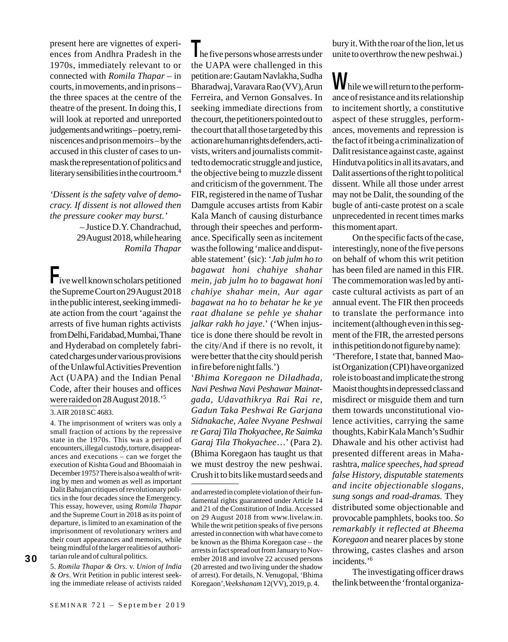present here are vignettes of experiences from Andhra Pradesh in the 1970s, immediately relevant to or connected with *Romila Thapar* – in courts, in movements, and in prisons – the three spaces at the centre of the theatre of the present. In doing this, I will look at reported and unreported judgements and writings – poetry, reminiscences and prison memoirs – by the accused in this cluster of cases to unmask the representation of politics and literary sensibilities in the courtroom.4

*'Dissent is the safety valve of democracy. If dissent is not allowed then the pressure cooker may burst.'* – Justice D.Y. Chandrachud,

29 August 2018, while hearing *Romila Thapar*

Five well known scholars petitioned the Supreme Court on 29 August 2018 in the public interest, seeking immediate action from the court 'against the arrests of five human rights activists from Delhi, Faridabad, Mumbai, Thane and Hyderabad on completely fabricated charges under various provisions of the Unlawful Activities Prevention Act (UAPA) and the Indian Penal Code, after their houses and offices were raided on 28 August 2018.'5

### 3. AIR 2018 SC 4683.

4. The imprisonment of writers was only a small fraction of actions by the repressive state in the 1970s. This was a period of encounters, illegal custody, torture, disappearances and executions – can we forget the execution of Kishta Goud and Bhoomaiah in December 1975? There is also a wealth of writing by men and women as well as important Dalit Bahujan critiques of revolutionary politics in the four decades since the Emergency. This essay, however, using *Romila Thapar* and the Supreme Court in 2018 as its point of departure, is limited to an examination of the imprisonment of revolutionary writers and their court appearances and memoirs, while being mindful of the larger realities of authoritarian rule and of cultural politics.

30

5. *Romila Thapar & Ors.* v. *Union of India & Ors*. Writ Petition in public interest seeking the immediate release of activists raided

Ine five persons whose arrests under the UAPA were challenged in this petition are: Gautam Navlakha, Sudha Bharadwaj, Varavara Rao (VV), Arun Ferreira, and Vernon Gonsalves. In seeking immediate directions from the court, the petitioners pointed out to the court that all those targeted by this action are human rights defenders, activists, writers and journalists committed to democratic struggle and justice, the objective being to muzzle dissent and criticism of the government. The FIR, registered in the name of Tushar Damgule accuses artists from Kabir Kala Manch of causing disturbance through their speeches and performance. Specifically seen as incitement was the following 'malice and disputable statement' (sic): '*Jab julm ho to bagawat honi chahiye shahar mein, jab julm ho to bagawat honi chahiye shahar mein, Aur agar bagawat na ho to behatar he ke ye raat dhalane se pehle ye shahar jalkar rakh ho jaye*.' ('When injustice is done there should be revolt in the city/And if there is no revolt, it were better that the city should perish in fire before night falls.')

'*Bhima Koregaon ne Diladhada, Navi Peshwa Navi Peshawar Mainatgada, Udavathikrya Rai Rai re, Gadun Taka Peshwai Re Garjana Sidnakache, Aalee Nvyane Peshwai re Garaj Tila Thokyachee, Re Saimka Garaj Tila Thokyachee*…' (Para 2). (Bhima Koregaon has taught us that we must destroy the new peshwai. Crush it to bits like mustard seeds and bury it. With the roar of the lion, let us unite to overthrow the new peshwai.)

While we will return to the performance of resistance and its relationship to incitement shortly, a constitutive aspect of these struggles, performances, movements and repression is the fact of it being a criminalization of Dalit resistance against caste, against Hindutva politics in all its avatars, and Dalit assertions of the right to political dissent. While all those under arrest may not be Dalit, the sounding of the bugle of anti-caste protest on a scale unprecedented in recent times marks this moment apart.

On the specific facts of the case, interestingly, none of the five persons on behalf of whom this writ petition has been filed are named in this FIR. The commemoration was led by anticaste cultural activists as part of an annual event. The FIR then proceeds to translate the performance into incitement (although even in this segment of the FIR, the arrested persons in this petition do not figure by name):

'Therefore, I state that, banned Maoist Organization (CPI) have organized role is to boast and implicate the strong Maoist thoughts in depressed class and misdirect or misguide them and turn them towards unconstitutional violence activities, carrying the same thoughts, Kabir Kala Manch's Sudhir Dhawale and his other activist had presented different areas in Maharashtra, *malice speeches, had spread false History, disputable statements and incite objectionable slogans, sung songs and road-dramas.* They distributed some objectionable and provocable pamphlets, books too. *So remarkably it reflected at Bheema Koregaon* and nearer places by stone throwing, castes clashes and arson incidents.'6

The investigating officer draws the link between the 'frontal organiza-

and arrested in complete violation of their fundamental rights guaranteed under Article 14 and 21 of the Constitution of India. Accessed on 29 August 2018 from www.livelaw.in. While the writ petition speaks of five persons arrested in connection with what have come to be known as the Bhima Koregaon case – the arrests in fact spread out from January to November 2018 and involve 22 accused persons (20 arrested and two living under the shadow of arrest). For details, N. Venugopal, 'Bhima Koregaon',*Veekshanam* 12(VV), 2019, p. 4.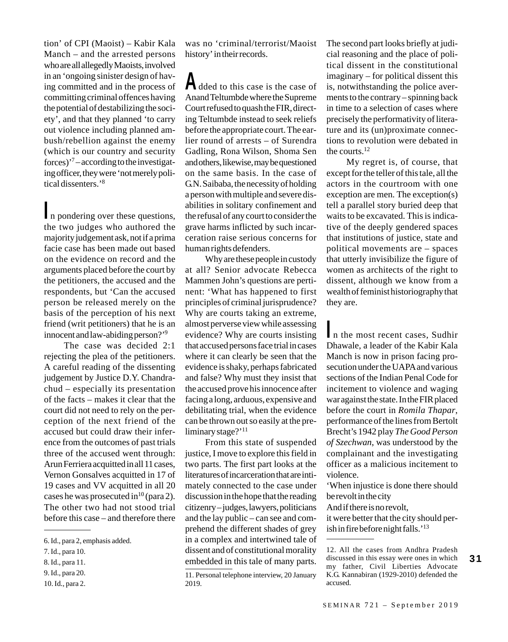tion' of CPI (Maoist) – Kabir Kala Manch – and the arrested persons who are all allegedly Maoists, involved in an 'ongoing sinister design of having committed and in the process of committing criminal offences having the potential of destabilizing the society', and that they planned 'to carry out violence including planned ambush/rebellion against the enemy (which is our country and security forces)'7 – according to the investigating officer, they were 'not merely political dissenters.'8

In pondering over these questions, the two judges who authored the majority judgement ask, not if a prima facie case has been made out based on the evidence on record and the arguments placed before the court by the petitioners, the accused and the respondents, but 'Can the accused person be released merely on the basis of the perception of his next friend (writ petitioners) that he is an innocent and law-abiding person?'9

The case was decided 2:1 rejecting the plea of the petitioners. A careful reading of the dissenting judgement by Justice D.Y. Chandrachud – especially its presentation of the facts – makes it clear that the court did not need to rely on the perception of the next friend of the accused but could draw their inference from the outcomes of past trials three of the accused went through: Arun Ferriera acquitted in all 11 cases, Vernon Gonsalves acquitted in 17 of 19 cases and VV acquitted in all 20 cases he was prosecuted in<sup>10</sup> (para 2). The other two had not stood trial before this case – and therefore there was no 'criminal/terrorist/Maoist history' in their records.

Added to this case is the case of Anand Teltumbde where the Supreme Court refused to quash the FIR, directing Teltumbde instead to seek reliefs before the appropriate court. The earlier round of arrests – of Surendra Gadling, Rona Wilson, Shoma Sen and others, likewise, may be questioned on the same basis. In the case of G.N. Saibaba, the necessity of holding a person with multiple and severe disabilities in solitary confinement and the refusal of any court to consider the grave harms inflicted by such incarceration raise serious concerns for human rights defenders.

Why are these people in custody at all? Senior advocate Rebecca Mammen John's questions are pertinent: 'What has happened to first principles of criminal jurisprudence? Why are courts taking an extreme, almost perverse view while assessing evidence? Why are courts insisting that accused persons face trial in cases where it can clearly be seen that the evidence is shaky, perhaps fabricated and false? Why must they insist that the accused prove his innocence after facing a long, arduous, expensive and debilitating trial, when the evidence can be thrown out so easily at the preliminary stage?'<sup>11</sup>

From this state of suspended justice, I move to explore this field in two parts. The first part looks at the literatures of incarceration that are intimately connected to the case under discussion in the hope that the reading citizenry – judges, lawyers, politicians and the lay public – can see and comprehend the different shades of grey in a complex and intertwined tale of dissent and of constitutional morality embedded in this tale of many parts.

The second part looks briefly at judicial reasoning and the place of political dissent in the constitutional imaginary – for political dissent this is, notwithstanding the police averments to the contrary – spinning back in time to a selection of cases where precisely the performativity of literature and its (un)proximate connections to revolution were debated in the courts.12

My regret is, of course, that except for the teller of this tale, all the actors in the courtroom with one exception are men. The exception(s) tell a parallel story buried deep that waits to be excavated. This is indicative of the deeply gendered spaces that institutions of justice, state and political movements are – spaces that utterly invisibilize the figure of women as architects of the right to dissent, although we know from a wealth of feminist historiography that they are.

In the most recent cases, Sudhir Dhawale, a leader of the Kabir Kala Manch is now in prison facing prosecution under the UAPA and various sections of the Indian Penal Code for incitement to violence and waging war against the state. In the FIR placed before the court in *Romila Thapar*, performance of the lines from Bertolt Brecht's 1942 play *The Good Person of Szechwan*, was understood by the complainant and the investigating officer as a malicious incitement to violence.

'When injustice is done there should be revolt in the city

And if there is no revolt,

it were better that the city should perish in fire before night falls.'<sup>13</sup>

12. All the cases from Andhra Pradesh discussed in this essay were ones in which my father, Civil Liberties Advocate K.G. Kannabiran (1929-2010) defended the accused.

31

<sup>6.</sup> Id., para 2, emphasis added.

<sup>7.</sup> Id., para 10.

<sup>8.</sup> Id., para 11.

<sup>9.</sup> Id., para 20.

<sup>10.</sup> Id., para 2.

<sup>11.</sup> Personal telephone interview, 20 January 2019.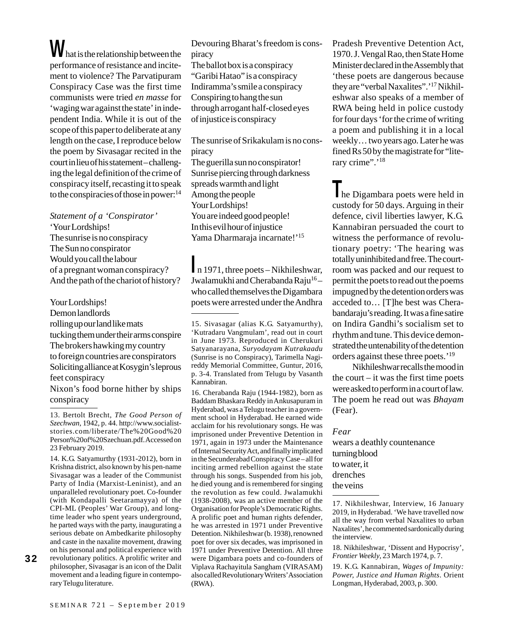What is the relationship between the performance of resistance and incitement to violence? The Parvatipuram Conspiracy Case was the first time communists were tried *en masse* for 'waging war against the state' in independent India. While it is out of the scope of this paper to deliberate at any length on the case, I reproduce below the poem by Sivasagar recited in the court in lieu of his statement – challenging the legal definition of the crime of conspiracy itself, recasting it to speak to the conspiracies of those in power: $^{14}$ 

*Statement of a 'Conspirator'* 'Your Lordships! The sunrise is no conspiracy The Sun no conspirator Would you call the labour of a pregnant woman conspiracy? And the path of the chariot of history?

Your Lordships!

Demon landlords rolling up our land like mats tucking them under their arms conspire The brokers hawking my country to foreign countries are conspirators Soliciting alliance at Kosygin's leprous feet conspiracy

Nixon's food borne hither by ships conspiracy

14. K.G. Satyamurthy (1931-2012), born in Krishna district, also known by his pen-name Sivasagar was a leader of the Communist Party of India (Marxist-Leninist), and an unparalleled revolutionary poet. Co-founder (with Kondapalli Seetaramayya) of the CPI-ML (Peoples' War Group), and longtime leader who spent years underground, he parted ways with the party, inaugurating a serious debate on Ambedkarite philosophy and caste in the naxalite movement, drawing on his personal and political experience with revolutionary politics. A prolific writer and philosopher, Sivasagar is an icon of the Dalit movement and a leading figure in contemporary Telugu literature.

Devouring Bharat's freedom is conspiracy

The ballot box is a conspiracy "Garibi Hatao" is a conspiracy Indiramma's smile a conspiracy Conspiring to hang the sun through arrogant half-closed eyes of injustice is conspiracy

The sunrise of Srikakulam is no conspiracy The guerilla sun no conspirator! Sunrise piercing through darkness spreads warmth and light Among the people Your Lordships! You are indeed good people! In this evil hour of injustice Yama Dharmaraja incarnate!'<sup>15</sup>

In 1971, three poets – Nikhileshwar, Jwalamukhi and Cherabanda Raju<sup>16</sup>who called themselves the Digambara poets were arrested under the Andhra

16. Cherabanda Raju (1944-1982), born as Baddam Bhaskara Reddy in Ankusapuram in Hyderabad, was a Telugu teacher in a government school in Hyderabad. He earned wide acclaim for his revolutionary songs. He was imprisoned under Preventive Detention in 1971, again in 1973 under the Maintenance of Internal Security Act, and finally implicated in the Secunderabad Conspiracy Case – all for inciting armed rebellion against the state through his songs. Suspended from his job, he died young and is remembered for singing the revolution as few could. Jwalamukhi (1938-2008), was an active member of the Organisation for People's Democratic Rights. A prolific poet and human rights defender, he was arrested in 1971 under Preventive Detention. Nikhileshwar (b. 1938), renowned poet for over six decades, was imprisoned in 1971 under Preventive Detention. All three were Digambara poets and co-founders of Viplava Rachayitula Sangham (VIRASAM) also called Revolutionary Writers' Association (RWA).

Pradesh Preventive Detention Act, 1970. J. Vengal Rao, then State Home Minister declared in the Assembly that 'these poets are dangerous because they are "verbal Naxalites".'17 Nikhileshwar also speaks of a member of RWA being held in police custody for four days 'for the crime of writing a poem and publishing it in a local weekly… two years ago. Later he was fined Rs 50 by the magistrate for "literary crime".'<sup>18</sup>

The Digambara poets were held in custody for 50 days. Arguing in their defence, civil liberties lawyer, K.G. Kannabiran persuaded the court to witness the performance of revolutionary poetry: 'The hearing was totally uninhibited and free. The courtroom was packed and our request to permit the poets to read out the poems impugned by the detention orders was acceded to… [T]he best was Cherabandaraju's reading. It was a fine satire on Indira Gandhi's socialism set to rhythm and tune. This device demonstrated the untenability of the detention orders against these three poets.'19

Nikhileshwar recalls the mood in the court – it was the first time poets were asked to perform in a court of law. The poem he read out was *Bhayam* (Fear).

*Fear* wears a deathly countenance turning blood to water, it drenches the veins

17. Nikhileshwar, Interview, 16 January 2019, in Hyderabad. 'We have travelled now all the way from verbal Naxalites to urban Naxalites', he commented sardonically during the interview.

18. Nikhileshwar, 'Dissent and Hypocrisy', *Frontier Weekly*, 23 March 1974, p. 7.

19. K.G. Kannabiran, *Wages of Impunity: Power, Justice and Human Rights*. Orient Longman, Hyderabad, 2003, p. 300.

32

<sup>13.</sup> Bertolt Brecht, *The Good Person of Szechwan*, 1942, p. 44. http://www.socialiststories.com/liberate/The%20Good%20 Person%20of%20Szechuan.pdf. Accessed on 23 February 2019.

<sup>15.</sup> Sivasagar (alias K.G. Satyamurthy), 'Kutradaru Vangmulam', read out in court in June 1973. Reproduced in Cherukuri Satyanarayana, *Suryodayam Kutrakaadu* (Sunrise is no Conspiracy), Tarimella Nagireddy Memorial Committee, Guntur, 2016, p. 3-4. Translated from Telugu by Vasanth Kannabiran.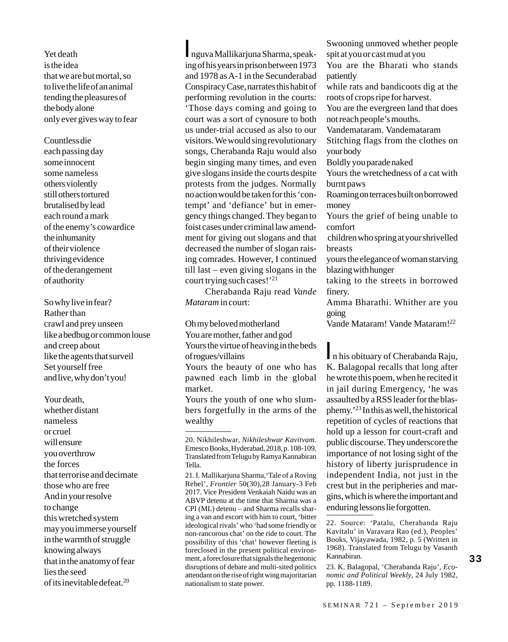Yet death is the idea that we are but mortal, so to live the life of an animal tending the pleasures of the body alone only ever gives way to fear

Countless die each passing day some innocent some nameless others violently still others tortured brutalised by lead each round a mark of the enemy's cowardice the inhumanity of their violence thriving evidence of the derangement of authority

So why live in fear? Rather than crawl and prey unseen like a bedbug or common louse and creep about like the agents that surveil Set yourself free and live, why don't you!

Your death, whether distant nameless or cruel will ensure you overthrow the forces that terrorise and decimate those who are free And in your resolve to change this wretched system may you immerse yourself in the warmth of struggle knowing always that in the anatomy of fear lies the seed of its inevitable defeat.20

Inguva Mallikarjuna Sharma, speaking of his years in prison between 1973 and 1978 as A-1 in the Secunderabad Conspiracy Case, narrates this habit of performing revolution in the courts: 'Those days coming and going to court was a sort of cynosure to both us under-trial accused as also to our visitors. We would sing revolutionary songs, Cherabanda Raju would also begin singing many times, and even give slogans inside the courts despite protests from the judges. Normally no action would be taken for this 'contempt' and 'defiance' but in emergency things changed. They began to foist cases under criminal law amendment for giving out slogans and that decreased the number of slogan raising comrades. However, I continued till last – even giving slogans in the court trying such cases!'21

Cherabanda Raju read *Vande Mataram* in court:

Oh my beloved motherland You are mother, father and god Yours the virtue of heaving in the beds of rogues/villains

Yours the beauty of one who has pawned each limb in the global market.

Yours the youth of one who slumbers forgetfully in the arms of the wealthy

Swooning unmoved whether people spit at you or cast mud at you You are the Bharati who stands patiently while rats and bandicoots dig at the roots of crops ripe for harvest. You are the evergreen land that does not reach people's mouths. Vandemataram. Vandemataram Stitching flags from the clothes on your body Boldly you parade naked Yours the wretchedness of a cat with burnt paws Roaming on terraces built on borrowed money Yours the grief of being unable to comfort children who spring at your shrivelled breasts yours the elegance of woman starving blazing with hunger

taking to the streets in borrowed finery.

Amma Bharathi. Whither are you going

Vande Mataram! Vande Mataram!22

In his obituary of Cherabanda Raju, K. Balagopal recalls that long after he wrote this poem, when he recited it in jail during Emergency, 'he was assaulted by a RSS leader for the blasphemy.'23 In this as well, the historical repetition of cycles of reactions that hold up a lesson for court-craft and public discourse. They underscore the importance of not losing sight of the history of liberty jurisprudence in independent India, not just in the crest but in the peripheries and margins, which is where the important and enduring lessons lie forgotten.

23. K. Balagopal, 'Cherabanda Raju', *Economic and Political Weekly*, 24 July 1982, pp. 1188-1189.

<sup>20.</sup> Nikhileshwar, *Nikhileshwar Kavitvam*. Emesco Books, Hyderabad, 2018, p. 108-109. Translated from Telugu by Ramya Kannabiran Tella.

<sup>21.</sup> I. Mallikarjuna Sharma,'Tale of a Roving Rebel', *Frontier* 50(30),28 January-3 Feb 2017. Vice President Venkaiah Naidu was an ABVP detenu at the time that Sharma was a CPI (ML) detenu – and Sharma recalls sharing a van and escort with him to court, 'bitter ideological rivals' who 'had some friendly or non-rancorous chat' on the ride to court. The possibility of this 'chat' however fleeting is foreclosed in the present political environment, a foreclosure that signals the hegemonic disruptions of debate and multi-sited politics attendant on the rise of right wing majoritarian nationalism to state power.

<sup>22.</sup> Source: 'Patalu, Cherabanda Raju Kavitalu' in Varavara Rao (ed.), Peoples' Books, Vijayawada, 1982, p. 5 (Written in 1968). Translated from Telugu by Vasanth Kannabiran.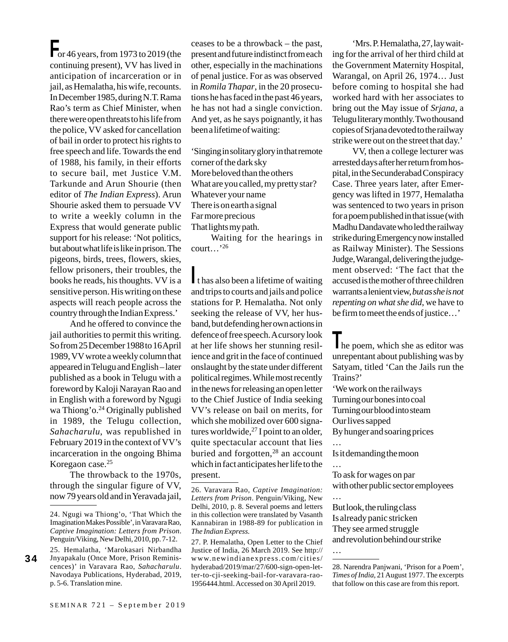$\Gamma$  or 46 years, from 1973 to 2019 (the continuing present), VV has lived in anticipation of incarceration or in jail, as Hemalatha, his wife, recounts. In December 1985, during N.T. Rama Rao's term as Chief Minister, when there were open threats to his life from the police, VV asked for cancellation of bail in order to protect his rights to free speech and life. Towards the end of 1988, his family, in their efforts to secure bail, met Justice V.M. Tarkunde and Arun Shourie (then editor of *The Indian Express*). Arun Shourie asked them to persuade VV to write a weekly column in the Express that would generate public support for his release: 'Not politics, but about what life is like in prison. The pigeons, birds, trees, flowers, skies, fellow prisoners, their troubles, the books he reads, his thoughts. VV is a sensitive person. His writing on these aspects will reach people across the country through the Indian Express.'

And he offered to convince the jail authorities to permit this writing. So from 25 December 1988 to 16 April 1989, VV wrote a weekly column that appeared in Telugu and English – later published as a book in Telugu with a foreword by Kaloji Narayan Rao and in English with a foreword by Ngugi wa Thiong'o.<sup>24</sup> Originally published in 1989, the Telugu collection, *Sahacharulu*, was republished in February 2019 in the context of VV's incarceration in the ongoing Bhima Koregaon case.25

The throwback to the 1970s, through the singular figure of VV, now 79 years old and in Yeravada jail,

34

ceases to be a throwback – the past, present and future indistinct from each other, especially in the machinations of penal justice. For as was observed in *Romila Thapar*, in the 20 prosecutions he has faced in the past 46 years, he has not had a single conviction. And yet, as he says poignantly, it has been a lifetime of waiting:

'Singing in solitary glory in that remote corner of the dark sky More beloved than the others What are you called, my pretty star? Whatever your name There is on earth a signal Far more precious That lights my path.

Waiting for the hearings in court…'26

It has also been a lifetime of waiting and trips to courts and jails and police stations for P. Hemalatha. Not only seeking the release of VV, her husband, but defending her own actions in defence of free speech. A cursory look at her life shows her stunning resilience and grit in the face of continued onslaught by the state under different political regimes. While most recently in the news for releasing an open letter to the Chief Justice of India seeking VV's release on bail on merits, for which she mobilized over 600 signatures worldwide,<sup>27</sup> I point to an older, quite spectacular account that lies buried and forgotten,<sup>28</sup> an account which in fact anticipates her life to the present.

27. P. Hemalatha, Open Letter to the Chief Justice of India, 26 March 2019. See http:// www.newindianexpress.com/cities/ hyderabad/2019/mar/27/600-sign-open-letter-to-cji-seeking-bail-for-varavara-rao-1956444.html. Accessed on 30 April 2019.

'Mrs. P. Hemalatha, 27, lay waiting for the arrival of her third child at the Government Maternity Hospital, Warangal, on April 26, 1974… Just before coming to hospital she had worked hard with her associates to bring out the May issue of *Srjana*, a Telugu literary monthly. Two thousand copies of Srjana devoted to the railway strike were out on the street that day.'

VV, then a college lecturer was arrested days after her return from hospital, in the Secunderabad Conspiracy Case. Three years later, after Emergency was lifted in 1977, Hemalatha was sentenced to two years in prison for a poem published in that issue (with Madhu Dandavate who led the railway strike during Emergency now installed as Railway Minister). The Sessions Judge, Warangal, delivering the judgement observed: 'The fact that the accused is the mother of three children warrants a lenient view, *but as she is not repenting on what she did*, we have to be firm to meet the ends of justice…'

The poem, which she as editor was unrepentant about publishing was by Satyam, titled 'Can the Jails run the Trains?'

'We work on the railways Turning our bones into coal Turning our blood into steam Our lives sapped By hunger and soaring prices

…

Is it demanding the moon

… To ask for wages on par

with other public sector employees …

But look, the ruling class Is already panic stricken They see armed struggle and revolution behind our strike

28. Narendra Panjwani, 'Prison for a Poem', *Times of India*, 21 August 1977. The excerpts that follow on this case are from this report.

<sup>24.</sup> Ngugi wa Thiong'o, 'That Which the Imagination Makes Possible', in Varavara Rao, *Captive Imagination: Letters from Prison*. Penguin/Viking, New Delhi, 2010, pp. 7-12.

<sup>25.</sup> Hemalatha, 'Marokasari Nirbandha Jnyapakalu (Once More, Prison Reminiscences)' in Varavara Rao, *Sahacharulu*. Navodaya Publications, Hyderabad, 2019, p. 5-6. Translation mine.

<sup>26.</sup> Varavara Rao, *Captive Imagination: Letters from Prison*. Penguin/Viking, New Delhi, 2010, p. 8. Several poems and letters in this collection were translated by Vasanth Kannabiran in 1988-89 for publication in *The Indian Express*.

<sup>…</sup>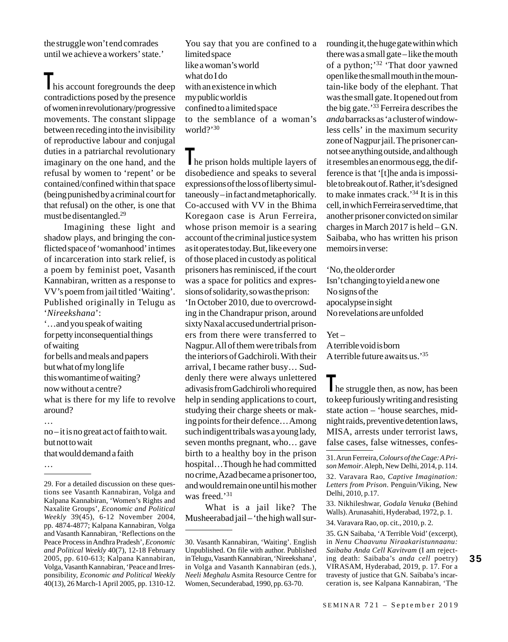the struggle won't end comrades until we achieve a workers' state.'

his account foregrounds the deep contradictions posed by the presence of women in revolutionary/progressive movements. The constant slippage between receding into the invisibility of reproductive labour and conjugal duties in a patriarchal revolutionary imaginary on the one hand, and the refusal by women to 'repent' or be contained/confined within that space (being punished by a criminal court for that refusal) on the other, is one that must be disentangled.29

Imagining these light and shadow plays, and bringing the conflicted space of 'womanhood' in times of incarceration into stark relief, is a poem by feminist poet, Vasanth Kannabiran, written as a response to VV's poem from jail titled 'Waiting'. Published originally in Telugu as '*Nireekshana*':

'…and you speak of waiting for petty inconsequential things of waiting

for bells and meals and papers but what of my long life this womantime of waiting? now without a centre? what is there for my life to revolve around?

no – it is no great act of faith to wait. but not to wait that would demand a faith

…

…

You say that you are confined to a limited space like a woman's world what do I do with an existence in which my public world is confined to a limited space to the semblance of a woman's world?'30

The prison holds multiple layers of disobedience and speaks to several expressions of the loss of liberty simultaneously – in fact and metaphorically. Co-accused with VV in the Bhima Koregaon case is Arun Ferreira, whose prison memoir is a searing account of the criminal justice system as it operates today. But, like every one of those placed in custody as political prisoners has reminisced, if the court was a space for politics and expressions of solidarity, so was the prison: 'In October 2010, due to overcrowding in the Chandrapur prison, around sixty Naxal accused undertrial prisoners from there were transferred to Nagpur. All of them were tribals from the interiors of Gadchiroli. With their arrival, I became rather busy… Suddenly there were always unlettered adivasis from Gadchiroli who required help in sending applications to court, studying their charge sheets or making points for their defence… Among such indigent tribals was a young lady, seven months pregnant, who… gave birth to a healthy boy in the prison hospital…Though he had committed no crime, Azad became a prisoner too, and would remain one until his mother was freed.'<sup>31</sup>

What is a jail like? The Musheerabad jail – 'the high wall surrounding it, the huge gate within which there was a small gate – like the mouth of a python;<sup>32</sup> 'That door yawned open like the small mouth in the mountain-like body of the elephant. That was the small gate. It opened out from the big gate.'33 Ferreira describes the *anda* barracks as 'a cluster of windowless cells' in the maximum security zone of Nagpur jail. The prisoner cannot see anything outside, and although it resembles an enormous egg, the difference is that '[t]he anda is impossible to break out of. Rather, it's designed to make inmates crack.'34 It is in this cell, in which Ferreira served time, that another prisoner convicted on similar charges in March 2017 is held  $-G.N.$ Saibaba, who has written his prison memoirs in verse:

'No, the older order Isn't changing to yield a new one No signs of the apocalypse in sight No revelations are unfolded

Yet –

A terrible void is born A terrible future awaits us.'35

Ine struggle then, as now, has been to keep furiously writing and resisting state action – 'house searches, midnight raids, preventive detention laws, MISA, arrests under terrorist laws, false cases, false witnesses, confes-

33. Nikhileshwar, *Godala Venuka* (Behind Walls). Arunasahiti, Hyderabad, 1972, p. 1.

34. Varavara Rao, op. cit., 2010, p. 2.

35. G.N Saibaba, 'A Terrible Void' (excerpt), in *Nenu Chaavunu Niraakaristunnaanu: Saibaba Anda Cell Kavitvam* (I am rejecting death: Saibaba's *anda cell* poetry) VIRASAM, Hyderabad, 2019, p. 17. For a travesty of justice that G.N. Saibaba's incarceration is, see Kalpana Kannabiran, 'The

<sup>29.</sup> For a detailed discussion on these questions see Vasanth Kannabiran, Volga and Kalpana Kannabiran, 'Women's Rights and Naxalite Groups', *Economic and Political Weekly* 39(45), 6-12 November 2004, pp. 4874-4877; Kalpana Kannabiran, Volga and Vasanth Kannabiran, 'Reflections on the Peace Process in Andhra Pradesh', *Economic and Political Weekly* 40(7), 12-18 February 2005, pp. 610-613; Kalpana Kannabiran, Volga, Vasanth Kannabiran, 'Peace and Irresponsibility, *Economic and Political Weekly* 40(13), 26 March-1 April 2005, pp. 1310-12.

<sup>30.</sup> Vasanth Kannabiran, 'Waiting'. English Unpublished. On file with author. Published in Telugu, Vasanth Kannabiran, 'Nireekshana', in Volga and Vasanth Kannabiran (eds.), *Neeli Meghalu* Asmita Resource Centre for Women, Secunderabad, 1990, pp. 63-70.

<sup>31.</sup> Arun Ferreira, *Colours of the Cage: A Prison Memoir*. Aleph, New Delhi, 2014, p. 114. 32. Varavara Rao, *Captive Imagination: Letters from Prison*. Penguin/Viking, New Delhi, 2010, p.17.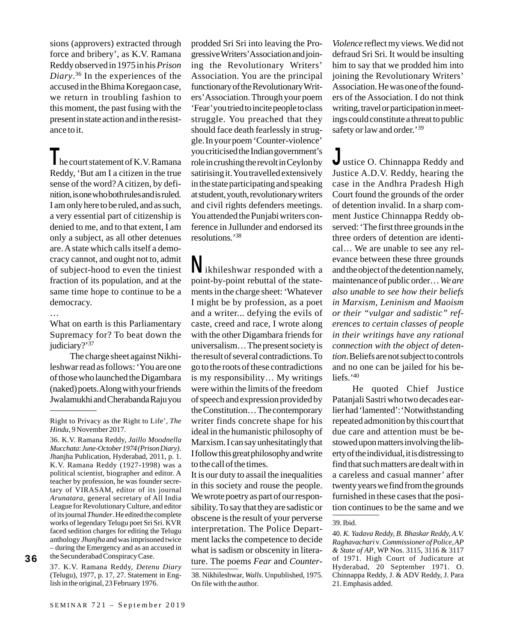sions (approvers) extracted through force and bribery', as K.V. Ramana Reddy observed in 1975 in his *Prison Diary*. 36 In the experiences of the accused in the Bhima Koregaon case, we return in troubling fashion to this moment, the past fusing with the present in state action and in the resistance to it.

I he court statement of K.V. Ramana Reddy, 'But am I a citizen in the true sense of the word? A citizen, by definition, is one who both rules and is ruled. I am only here to be ruled, and as such, a very essential part of citizenship is denied to me, and to that extent, I am only a subject, as all other detenues are. A state which calls itself a democracy cannot, and ought not to, admit of subject-hood to even the tiniest fraction of its population, and at the same time hope to continue to be a democracy.

…

What on earth is this Parliamentary Supremacy for? To beat down the judiciary?'<sup>37</sup>

The charge sheet against Nikhileshwar read as follows: 'You are one of those who launched the Digambara (naked) poets. Along with your friends Jwalamukhi and Cherabanda Raju you

36

37. K.V. Ramana Reddy, *Detenu Diary* (Telugu), 1977, p. 17, 27. Statement in English in the original, 23 February 1976.

the Secunderabad Conspiracy Case.

prodded Sri Sri into leaving the Progressive Writers' Association and joining the Revolutionary Writers' Association. You are the principal functionary of the Revolutionary Writers' Association. Through your poem 'Fear' you tried to incite people to class struggle. You preached that they should face death fearlessly in struggle. In your poem 'Counter-violence' you criticised the Indian government's role in crushing the revolt in Ceylon by satirising it. You travelled extensively in the state participating and speaking at student, youth, revolutionary writers and civil rights defenders meetings. You attended the Punjabi writers conference in Jullunder and endorsed its resolutions.'38

Nikhileshwar responded with a point-by-point rebuttal of the statements in the charge sheet: 'Whatever I might be by profession, as a poet and a writer... defying the evils of caste, creed and race, I wrote along with the other Digambara friends for universalism… The present society is the result of several contradictions. To go to the roots of these contradictions is my responsibility… My writings were within the limits of the freedom of speech and expression provided by the Constitution… The contemporary writer finds concrete shape for his ideal in the humanistic philosophy of Marxism. I can say unhesitatingly that I follow this great philosophy and write to the call of the times.

It is our duty to assail the inequalities in this society and rouse the people. We wrote poetry as part of our responsibility. To say that they are sadistic or obscene is the result of your perverse interpretation. The Police Department lacks the competence to decide what is sadism or obscenity in literature. The poems *Fear* and *Counter-*

38. Nikhileshwar, *Walls*. Unpublished, 1975. On file with the author.

*Violence* reflect my views. We did not defraud Sri Sri. It would be insulting him to say that we prodded him into joining the Revolutionary Writers' Association. He was one of the founders of the Association. I do not think writing, travel or participation in meetings could constitute a threat to public safety or law and order.'<sup>39</sup>

Justice O. Chinnappa Reddy and Justice A.D.V. Reddy, hearing the case in the Andhra Pradesh High Court found the grounds of the order of detention invalid. In a sharp comment Justice Chinnappa Reddy observed: 'The first three grounds in the three orders of detention are identical… We are unable to see any relevance between these three grounds and the object of the detention namely, maintenance of public order… *We are also unable to see how their beliefs in Marxism, Leninism and Maoism or their "vulgar and sadistic" references to certain classes of people in their writings have any rational connection with the object of detention*. Beliefs are not subject to controls and no one can be jailed for his beliefs.'40

He quoted Chief Justice Patanjali Sastri who two decades earlier had 'lamented':'Notwithstanding repeated admonition by this court that due care and attention must be bestowed upon matters involving the liberty of the individual, it is distressing to find that such matters are dealt with in a careless and casual manner' after twenty years we find from the grounds furnished in these cases that the position continues to be the same and we

40. *K. Yadava Reddy, B. Bhaskar Reddy, A.V. Raghavachari* v*. Commissioner of Police, AP & State of AP*, WP Nos. 3115, 3116 & 3117 of 1971. High Court of Judicature at Hyderabad, 20 September 1971. O. Chinnappa Reddy, J. & ADV Reddy, J. Para 21. Emphasis added.

Right to Privacy as the Right to Life', *The Hindu*, 9 November 2017.

<sup>36.</sup> K.V. Ramana Reddy, *Jaillo Moodnella Mucchata*: *June-October 1974 (Prison Diary)*. Jhanjha Publication, Hyderabad, 2011, p. 1. K.V. Ramana Reddy (1927-1998) was a political scientist, biographer and editor. A teacher by profession, he was founder secretary of VIRASAM, editor of its journal *Arunatara*, general secretary of All India League for Revolutionary Culture, and editor of its journal *Thunder*. He edited the complete works of legendary Telugu poet Sri Sri. KVR faced sedition charges for editing the Telugu anthology *Jhanjha* and was imprisoned twice – during the Emergency and as an accused in

<sup>39.</sup> Ibid.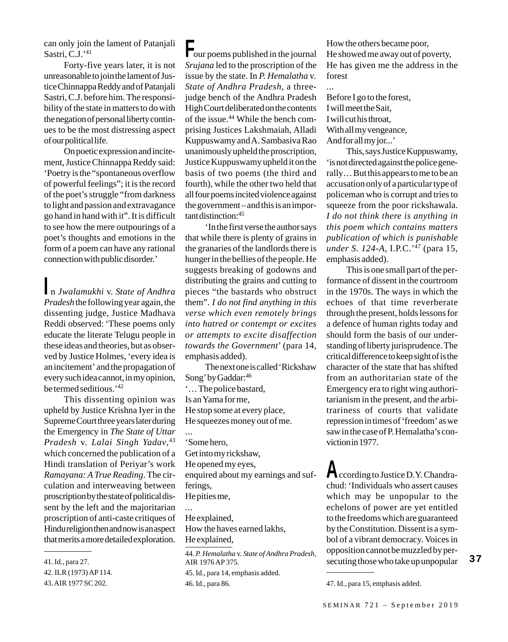can only join the lament of Patanjali Sastri, C.J.'<sup>41</sup>

Forty-five years later, it is not unreasonable to join the lament of Justice Chinnappa Reddy and of Patanjali Sastri, C.J. before him. The responsibility of the state in matters to do with the negation of personal liberty continues to be the most distressing aspect of our political life.

On poetic expression and incitement, Justice Chinnappa Reddy said: 'Poetry is the "spontaneous overflow of powerful feelings"; it is the record of the poet's struggle "from darkness to light and passion and extravagance go hand in hand with it". It is difficult to see how the mere outpourings of a poet's thoughts and emotions in the form of a poem can have any rational connection with public disorder.'

In *Jwalamukhi* v. *State of Andhra Pradesh* the following year again, the dissenting judge, Justice Madhava Reddi observed:'These poems only educate the literate Telugu people in these ideas and theories, but as observed by Justice Holmes, 'every idea is an incitement' and the propagation of every such idea cannot, in my opinion, be termed seditious.'42

This dissenting opinion was upheld by Justice Krishna Iyer in the Supreme Court three years later during the Emergency in *The State of Uttar Pradesh* v. *Lalai Singh Yadav*, 43 which concerned the publication of a Hindi translation of Periyar's work *Ramayana: A True Reading*. The circulation and interweaving between proscription by the state of political dissent by the left and the majoritarian proscription of anti-caste critiques of Hindu religion then and now is an aspect that merits a more detailed exploration.

Four poems published in the journal *Srujana* led to the proscription of the issue by the state. In *P. Hemalatha* v*. State of Andhra Pradesh,* a threejudge bench of the Andhra Pradesh High Court deliberated on the contents of the issue.44 While the bench comprising Justices Lakshmaiah, Alladi Kuppuswamy and A. Sambasiva Rao unanimously upheld the proscription, Justice Kuppuswamy upheld it on the basis of two poems (the third and fourth), while the other two held that all four poems incited violence against the government – and this is an important distinction:45

'In the first verse the author says that while there is plenty of grains in the granaries of the landlords there is hunger in the bellies of the people. He suggests breaking of godowns and distributing the grains and cutting to pieces "the bastards who obstruct them". *I do not find anything in this verse which even remotely brings into hatred or contempt or excites or attempts to excite disaffection towards the Government*' (para 14, emphasis added).

The next one is called 'Rickshaw Song' by Gaddar:46 '… The police bastard, Is an Yama for me, He stop some at every place, He squeezes money out of me. ... 'Some hero, Get into my rickshaw, He opened my eyes, enquired about my earnings and sufferings, He pities me, ... He explained, How the haves earned lakhs, He explained,

44. *P. Hemalatha* v. *State of Andhra Pradesh,* AIR 1976 AP 375. 45. Id., para 14, emphasis added.

How the others became poor, He showed me away out of poverty, He has given me the address in the forest

Before I go to the forest, I will meet the Sait, I will cut his throat, With all my vengeance, And for all my jor...'

...

This, says Justice Kuppuswamy, 'is not directed against the police generally… But this appears to me to be an accusation only of a particular type of policeman who is corrupt and tries to squeeze from the poor rickshawala. *I do not think there is anything in this poem which contains matters publication of which is punishable under S. 124-A*, I.P.C.'47 (para 15, emphasis added).

This is one small part of the performance of dissent in the courtroom in the 1970s. The ways in which the echoes of that time reverberate through the present, holds lessons for a defence of human rights today and should form the basis of our understanding of liberty jurisprudence. The critical difference to keep sight of is the character of the state that has shifted from an authoritarian state of the Emergency era to right wing authoritarianism in the present, and the arbitrariness of courts that validate repression in times of 'freedom' as we saw in the case of P. Hemalatha's conviction in 1977.

According to Justice D.Y. Chandrachud: 'Individuals who assert causes which may be unpopular to the echelons of power are yet entitled to the freedoms which are guaranteed by the Constitution. Dissent is a symbol of a vibrant democracy. Voices in opposition cannot be muzzled by per-41. Id., para 27. Secuting those who take up unpopular and the secution of the secuting those who take up unpopular

<sup>42.</sup> ILR (1973) AP 114.

<sup>43.</sup> AIR 1977 SC 202.

<sup>46.</sup> Id., para 86. 47. Id., para 15, emphasis added.